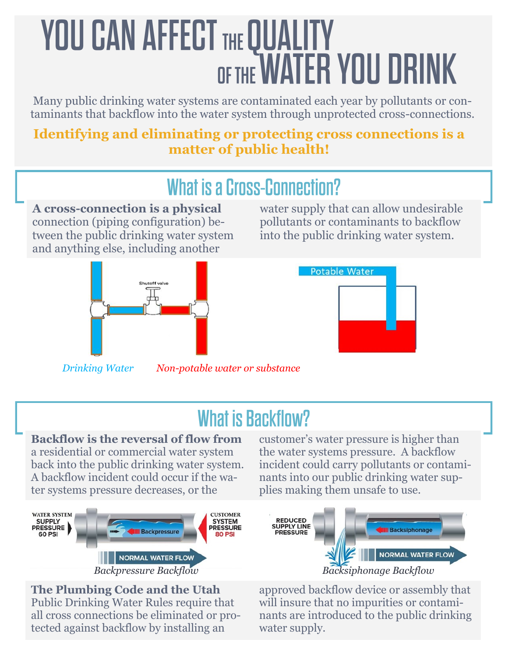# **YOU CAN AFFECT THE QUALITY OF THE WATER YOU DRINK**

Many public drinking water systems are contaminated each year by pollutants or contaminants that backflow into the water system through unprotected cross-connections.

### **Identifying and eliminating or protecting cross connections is a matter of public health!**

## **What is a Cross-Connection? A cross-connection is a physical**  connection (piping configuration) between the public drinking water system and anything else, including another



water supply that can allow undesirable pollutants or contaminants to backflow into the public drinking water system.



*Drinking Water Non-potable water or substance*

# **What is Backflow?**

#### **Backflow is the reversal of flow from**  a residential or commercial water system back into the public drinking water system. A backflow incident could occur if the wa-



**The Plumbing Code and the Utah**  Public Drinking Water Rules require that all cross connections be eliminated or protected against backflow by installing an

customer's water pressure is higher than the water systems pressure. A backflow incident could carry pollutants or contaminants into our public drinking water supplies making them unsafe to use.



approved backflow device or assembly that will insure that no impurities or contaminants are introduced to the public drinking water supply.